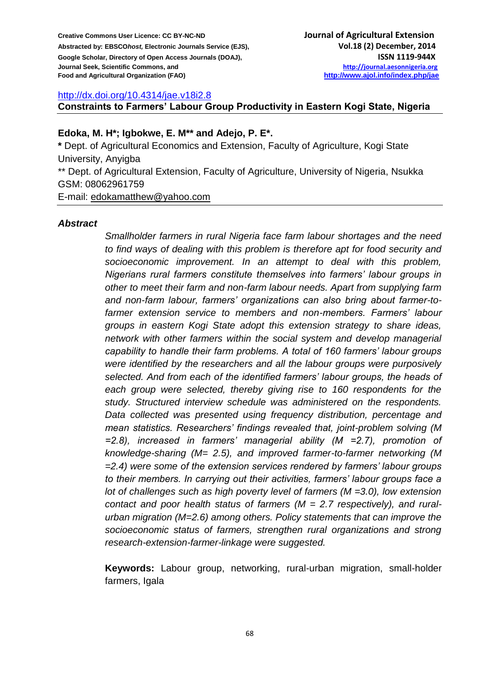#### <http://dx.doi.org/10.4314/jae.v18i2.8>

**Constraints to Farmers' Labour Group Productivity in Eastern Kogi State, Nigeria**

#### **Edoka, M. H\*; Igbokwe, E. M\*\* and Adejo, P. E\*.**

**\*** Dept. of Agricultural Economics and Extension, Faculty of Agriculture, Kogi State University, Anyigba \*\* Dept. of Agricultural Extension, Faculty of Agriculture, University of Nigeria, Nsukka GSM: 08062961759 E-mail: [edokamatthew@yahoo.com](mailto:edokamatthew@yahoo.com)

#### *Abstract*

*Smallholder farmers in rural Nigeria face farm labour shortages and the need to find ways of dealing with this problem is therefore apt for food security and socioeconomic improvement. In an attempt to deal with this problem, Nigerians rural farmers constitute themselves into farmers' labour groups in other to meet their farm and non-farm labour needs. Apart from supplying farm and non-farm labour, farmers' organizations can also bring about farmer-tofarmer extension service to members and non-members. Farmers' labour groups in eastern Kogi State adopt this extension strategy to share ideas, network with other farmers within the social system and develop managerial capability to handle their farm problems. A total of 160 farmers' labour groups were identified by the researchers and all the labour groups were purposively selected. And from each of the identified farmers' labour groups, the heads of*  each group were selected, thereby giving rise to 160 respondents for the *study. Structured interview schedule was administered on the respondents. Data collected was presented using frequency distribution, percentage and mean statistics. Researchers' findings revealed that, joint-problem solving (M =2.8), increased in farmers' managerial ability (M =2.7), promotion of knowledge-sharing (M= 2.5), and improved farmer-to-farmer networking (M =2.4) were some of the extension services rendered by farmers' labour groups to their members. In carrying out their activities, farmers' labour groups face a lot of challenges such as high poverty level of farmers (M =3.0), low extension contact and poor health status of farmers (M = 2.7 respectively), and ruralurban migration (M=2.6) among others. Policy statements that can improve the socioeconomic status of farmers, strengthen rural organizations and strong research-extension-farmer-linkage were suggested.*

**Keywords:** Labour group, networking, rural-urban migration, small-holder farmers, Igala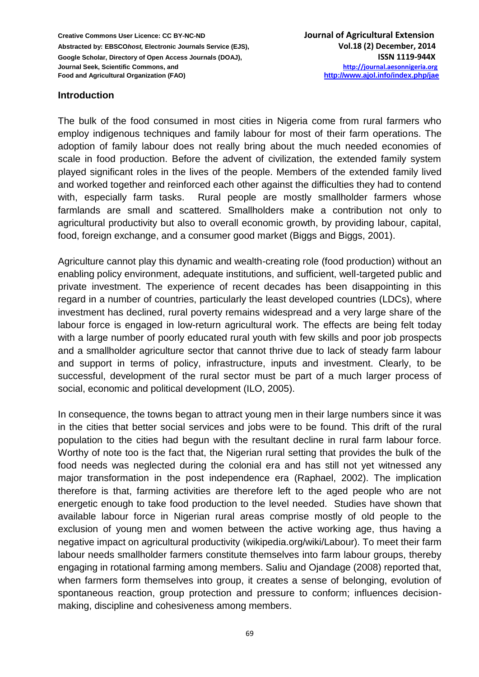#### **Introduction**

The bulk of the food consumed in most cities in Nigeria come from rural farmers who employ indigenous techniques and family labour for most of their farm operations. The adoption of family labour does not really bring about the much needed economies of scale in food production. Before the advent of civilization, the extended family system played significant roles in the lives of the people. Members of the extended family lived and worked together and reinforced each other against the difficulties they had to contend with, especially farm tasks. Rural people are mostly smallholder farmers whose farmlands are small and scattered. Smallholders make a contribution not only to agricultural productivity but also to overall economic growth, by providing labour, capital, food, foreign exchange, and a consumer good market (Biggs and Biggs, 2001).

Agriculture cannot play this dynamic and wealth-creating role (food production) without an enabling policy environment, adequate institutions, and sufficient, well-targeted public and private investment. The experience of recent decades has been disappointing in this regard in a number of countries, particularly the least developed countries (LDCs), where investment has declined, rural poverty remains widespread and a very large share of the labour force is engaged in low-return agricultural work. The effects are being felt today with a large number of poorly educated rural youth with few skills and poor job prospects and a smallholder agriculture sector that cannot thrive due to lack of steady farm labour and support in terms of policy, infrastructure, inputs and investment. Clearly, to be successful, development of the rural sector must be part of a much larger process of social, economic and political development (ILO, 2005).

In consequence, the towns began to attract young men in their large numbers since it was in the cities that better social services and jobs were to be found. This drift of the rural population to the cities had begun with the resultant decline in rural farm labour force. Worthy of note too is the fact that, the Nigerian rural setting that provides the bulk of the food needs was neglected during the colonial era and has still not yet witnessed any major transformation in the post independence era (Raphael, 2002). The implication therefore is that, farming activities are therefore left to the aged people who are not energetic enough to take food production to the level needed. Studies have shown that available labour force in Nigerian rural areas comprise mostly of old people to the exclusion of young men and women between the active working age, thus having a negative impact on agricultural productivity (wikipedia.org/wiki/Labour). To meet their farm labour needs smallholder farmers constitute themselves into farm labour groups, thereby engaging in rotational farming among members. Saliu and Ojandage (2008) reported that, when farmers form themselves into group, it creates a sense of belonging, evolution of spontaneous reaction, group protection and pressure to conform; influences decisionmaking, discipline and cohesiveness among members.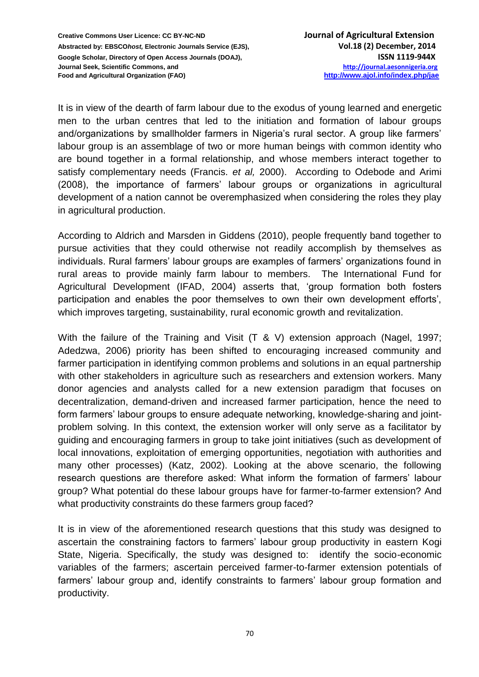It is in view of the dearth of farm labour due to the exodus of young learned and energetic men to the urban centres that led to the initiation and formation of labour groups and/organizations by smallholder farmers in Nigeria's rural sector. A group like farmers' labour group is an assemblage of two or more human beings with common identity who are bound together in a formal relationship, and whose members interact together to satisfy complementary needs (Francis. *et al,* 2000). According to Odebode and Arimi (2008), the importance of farmers' labour groups or organizations in agricultural development of a nation cannot be overemphasized when considering the roles they play in agricultural production.

According to Aldrich and Marsden in Giddens (2010), people frequently band together to pursue activities that they could otherwise not readily accomplish by themselves as individuals. Rural farmers' labour groups are examples of farmers' organizations found in rural areas to provide mainly farm labour to members. The International Fund for Agricultural Development (IFAD, 2004) asserts that, 'group formation both fosters participation and enables the poor themselves to own their own development efforts', which improves targeting, sustainability, rural economic growth and revitalization.

With the failure of the Training and Visit (T & V) extension approach (Nagel, 1997; Adedzwa, 2006) priority has been shifted to encouraging increased community and farmer participation in identifying common problems and solutions in an equal partnership with other stakeholders in agriculture such as researchers and extension workers. Many donor agencies and analysts called for a new extension paradigm that focuses on decentralization, demand-driven and increased farmer participation, hence the need to form farmers' labour groups to ensure adequate networking, knowledge-sharing and jointproblem solving. In this context, the extension worker will only serve as a facilitator by guiding and encouraging farmers in group to take joint initiatives (such as development of local innovations, exploitation of emerging opportunities, negotiation with authorities and many other processes) (Katz, 2002). Looking at the above scenario, the following research questions are therefore asked: What inform the formation of farmers' labour group? What potential do these labour groups have for farmer-to-farmer extension? And what productivity constraints do these farmers group faced?

It is in view of the aforementioned research questions that this study was designed to ascertain the constraining factors to farmers' labour group productivity in eastern Kogi State, Nigeria. Specifically, the study was designed to: identify the socio-economic variables of the farmers; ascertain perceived farmer-to-farmer extension potentials of farmers' labour group and, identify constraints to farmers' labour group formation and productivity.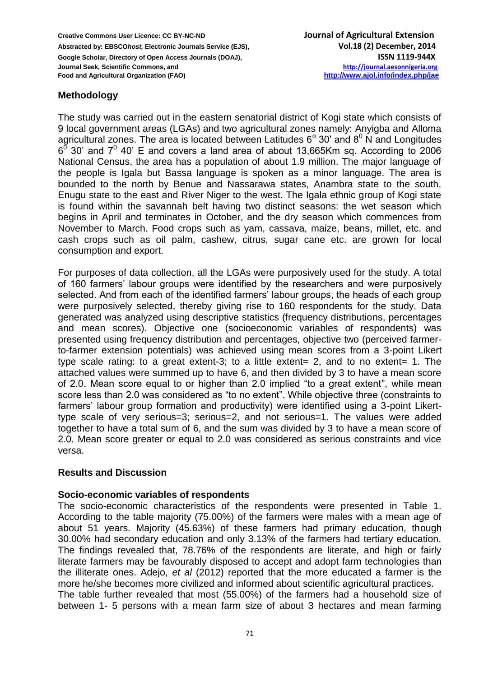# **Methodology**

The study was carried out in the eastern senatorial district of Kogi state which consists of 9 local government areas (LGAs) and two agricultural zones namely: Anyigba and Alloma agricultural zones. The area is located between Latitudes  $6^{\circ}$  30' and  $8^{\circ}$  N and Longitudes  $6^{\overline{0}}$  30' and  $7^{\overline{0}}$  40' E and covers a land area of about 13,665Km sq. According to 2006 National Census, the area has a population of about 1.9 million. The major language of the people is Igala but Bassa language is spoken as a minor language. The area is bounded to the north by Benue and Nassarawa states, Anambra state to the south, Enugu state to the east and River Niger to the west. The Igala ethnic group of Kogi state is found within the savannah belt having two distinct seasons: the wet season which begins in April and terminates in October, and the dry season which commences from November to March. Food crops such as yam, cassava, maize, beans, millet, etc. and cash crops such as oil palm, cashew, citrus, sugar cane etc. are grown for local consumption and export.

For purposes of data collection, all the LGAs were purposively used for the study. A total of 160 farmers' labour groups were identified by the researchers and were purposively selected. And from each of the identified farmers' labour groups, the heads of each group were purposively selected, thereby giving rise to 160 respondents for the study. Data generated was analyzed using descriptive statistics (frequency distributions, percentages and mean scores). Objective one (socioeconomic variables of respondents) was presented using frequency distribution and percentages, objective two (perceived farmerto-farmer extension potentials) was achieved using mean scores from a 3-point Likert type scale rating: to a great extent-3; to a little extent= 2, and to no extent= 1. The attached values were summed up to have 6, and then divided by 3 to have a mean score of 2.0. Mean score equal to or higher than 2.0 implied "to a great extent", while mean score less than 2.0 was considered as "to no extent". While objective three (constraints to farmers' labour group formation and productivity) were identified using a 3-point Likerttype scale of very serious=3; serious=2, and not serious=1. The values were added together to have a total sum of 6, and the sum was divided by 3 to have a mean score of 2.0. Mean score greater or equal to 2.0 was considered as serious constraints and vice versa.

## **Results and Discussion**

## **Socio-economic variables of respondents**

The socio-economic characteristics of the respondents were presented in Table 1. According to the table majority (75.00%) of the farmers were males with a mean age of about 51 years. Majority (45.63%) of these farmers had primary education, though 30.00% had secondary education and only 3.13% of the farmers had tertiary education. The findings revealed that, 78.76% of the respondents are literate, and high or fairly literate farmers may be favourably disposed to accept and adopt farm technologies than the illiterate ones. Adejo, *et al* (2012) reported that the more educated a farmer is the more he/she becomes more civilized and informed about scientific agricultural practices. The table further revealed that most (55.00%) of the farmers had a household size of between 1- 5 persons with a mean farm size of about 3 hectares and mean farming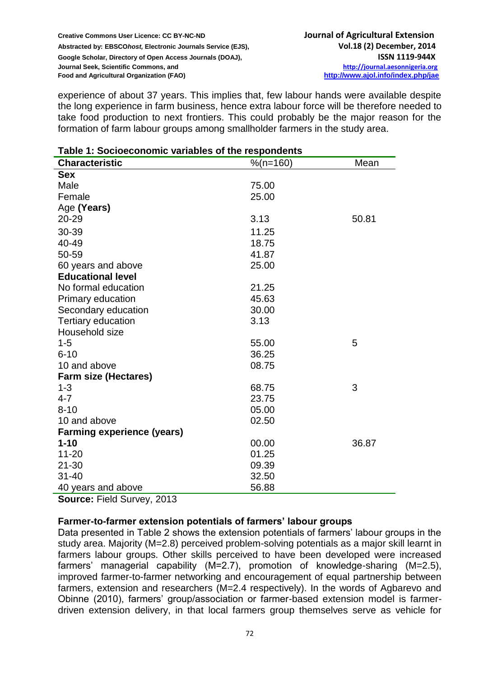experience of about 37 years. This implies that, few labour hands were available despite the long experience in farm business, hence extra labour force will be therefore needed to take food production to next frontiers. This could probably be the major reason for the formation of farm labour groups among smallholder farmers in the study area.

| <b>Characteristic</b>             | $%$ (n=160) | Mean  |
|-----------------------------------|-------------|-------|
| <b>Sex</b>                        |             |       |
| Male                              | 75.00       |       |
| Female                            | 25.00       |       |
| Age (Years)                       |             |       |
| 20-29                             | 3.13        | 50.81 |
| 30-39                             | 11.25       |       |
| 40-49                             | 18.75       |       |
| 50-59                             | 41.87       |       |
| 60 years and above                | 25.00       |       |
| <b>Educational level</b>          |             |       |
| No formal education               | 21.25       |       |
| Primary education                 | 45.63       |       |
| Secondary education               | 30.00       |       |
| <b>Tertiary education</b>         | 3.13        |       |
| Household size                    |             |       |
| $1 - 5$                           | 55.00       | 5     |
| $6 - 10$                          | 36.25       |       |
| 10 and above                      | 08.75       |       |
| <b>Farm size (Hectares)</b>       |             |       |
| $1 - 3$                           | 68.75       | 3     |
| $4 - 7$                           | 23.75       |       |
| $8 - 10$                          | 05.00       |       |
| 10 and above                      | 02.50       |       |
| <b>Farming experience (years)</b> |             |       |
| $1 - 10$                          | 00.00       | 36.87 |
| $11 - 20$                         | 01.25       |       |
| $21 - 30$                         | 09.39       |       |
| $31 - 40$                         | 32.50       |       |
| 40 years and above                | 56.88       |       |

#### **Table 1: Socioeconomic variables of the respondents**

**Source:** Field Survey, 2013

## **Farmer-to-farmer extension potentials of farmers' labour groups**

Data presented in Table 2 shows the extension potentials of farmers' labour groups in the study area. Majority (M=2.8) perceived problem-solving potentials as a major skill learnt in farmers labour groups. Other skills perceived to have been developed were increased farmers' managerial capability (M=2.7), promotion of knowledge-sharing (M=2.5), improved farmer-to-farmer networking and encouragement of equal partnership between farmers, extension and researchers (M=2.4 respectively). In the words of Agbarevo and Obinne (2010), farmers' group/association or farmer-based extension model is farmerdriven extension delivery, in that local farmers group themselves serve as vehicle for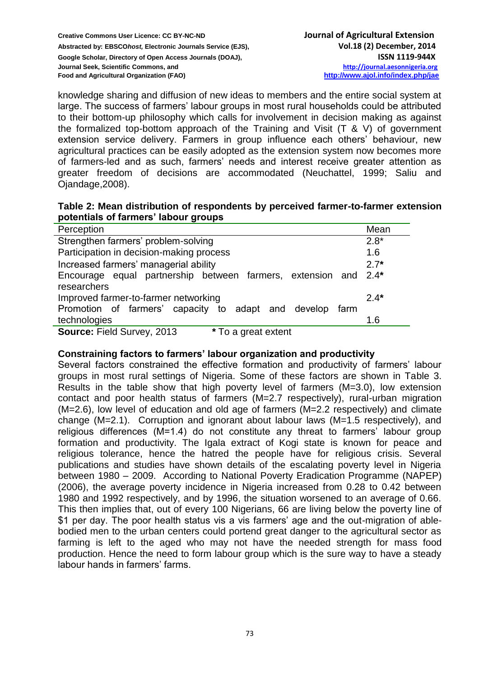knowledge sharing and diffusion of new ideas to members and the entire social system at large. The success of farmers' labour groups in most rural households could be attributed to their bottom-up philosophy which calls for involvement in decision making as against the formalized top-bottom approach of the Training and Visit (T & V) of government extension service delivery. Farmers in group influence each others' behaviour, new agricultural practices can be easily adopted as the extension system now becomes more of farmers-led and as such, farmers' needs and interest receive greater attention as greater freedom of decisions are accommodated (Neuchattel, 1999; Saliu and Ojandage,2008).

| Table 2: Mean distribution of respondents by perceived farmer-to-farmer extension |  |  |
|-----------------------------------------------------------------------------------|--|--|
| potentials of farmers' labour groups                                              |  |  |

| Potentialo of familions rapped groups                           |        |
|-----------------------------------------------------------------|--------|
| Perception                                                      | Mean   |
| Strengthen farmers' problem-solving                             | $2.8*$ |
| Participation in decision-making process                        | 1.6    |
| Increased farmers' managerial ability                           | $2.7*$ |
| Encourage equal partnership between farmers, extension and 2.4* |        |
| researchers                                                     |        |
| Improved farmer-to-farmer networking                            | $2.4*$ |
| Promotion of farmers' capacity to adapt and develop<br>farm     |        |
| technologies                                                    | 1.6    |
| Source: Field Survey, 2013<br>* To a great extent               |        |

## **Constraining factors to farmers' labour organization and productivity**

Several factors constrained the effective formation and productivity of farmers' labour groups in most rural settings of Nigeria. Some of these factors are shown in Table 3. Results in the table show that high poverty level of farmers (M=3.0), low extension contact and poor health status of farmers (M=2.7 respectively), rural-urban migration (M=2.6), low level of education and old age of farmers (M=2.2 respectively) and climate change (M=2.1). Corruption and ignorant about labour laws (M=1.5 respectively), and religious differences (M=1.4) do not constitute any threat to farmers' labour group formation and productivity. The Igala extract of Kogi state is known for peace and religious tolerance, hence the hatred the people have for religious crisis. Several publications and studies have shown details of the escalating poverty level in Nigeria between 1980 – 2009. According to National Poverty Eradication Programme (NAPEP) (2006), the average poverty incidence in Nigeria increased from 0.28 to 0.42 between 1980 and 1992 respectively, and by 1996, the situation worsened to an average of 0.66. This then implies that, out of every 100 Nigerians, 66 are living below the poverty line of \$1 per day. The poor health status vis a vis farmers' age and the out-migration of ablebodied men to the urban centers could portend great danger to the agricultural sector as farming is left to the aged who may not have the needed strength for mass food production. Hence the need to form labour group which is the sure way to have a steady labour hands in farmers' farms.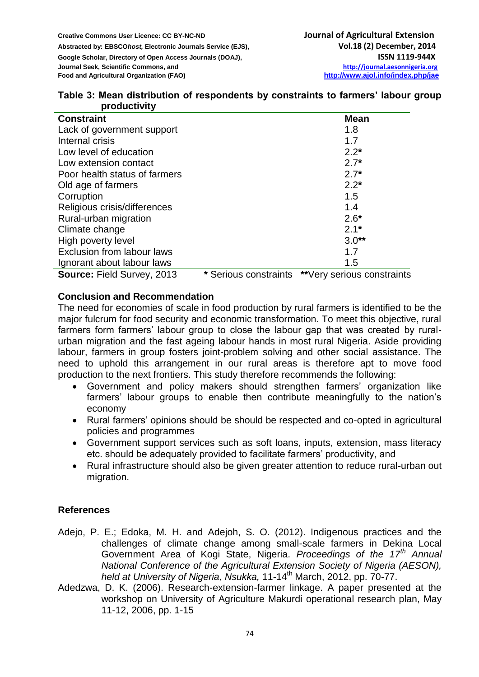| Table 3: Mean distribution of respondents by constraints to farmers' labour group |  |  |  |
|-----------------------------------------------------------------------------------|--|--|--|
| productivity                                                                      |  |  |  |

| <b>Constraint</b>                 |                       | <b>Mean</b>                |
|-----------------------------------|-----------------------|----------------------------|
| Lack of government support        |                       | 1.8                        |
| Internal crisis                   |                       | 1.7                        |
| Low level of education            |                       | $2.2*$                     |
| Low extension contact             |                       | $2.7*$                     |
| Poor health status of farmers     |                       | $2.7*$                     |
| Old age of farmers                |                       | $2.2*$                     |
| Corruption                        |                       | 1.5                        |
| Religious crisis/differences      |                       | 1.4                        |
| Rural-urban migration             |                       | $2.6*$                     |
| Climate change                    |                       | $2.1*$                     |
| High poverty level                |                       | $3.0**$                    |
| Exclusion from labour laws        |                       | 1.7                        |
| Ignorant about labour laws        |                       | 1.5                        |
| <b>Source: Field Survey, 2013</b> | * Serious constraints | **Very serious constraints |

## **Conclusion and Recommendation**

The need for economies of scale in food production by rural farmers is identified to be the major fulcrum for food security and economic transformation. To meet this objective, rural farmers form farmers' labour group to close the labour gap that was created by ruralurban migration and the fast ageing labour hands in most rural Nigeria. Aside providing labour, farmers in group fosters joint-problem solving and other social assistance. The need to uphold this arrangement in our rural areas is therefore apt to move food production to the next frontiers. This study therefore recommends the following:

- Government and policy makers should strengthen farmers' organization like farmers' labour groups to enable then contribute meaningfully to the nation's economy
- Rural farmers' opinions should be should be respected and co-opted in agricultural policies and programmes
- Government support services such as soft loans, inputs, extension, mass literacy etc. should be adequately provided to facilitate farmers' productivity, and
- Rural infrastructure should also be given greater attention to reduce rural-urban out migration.

# **References**

- Adejo, P. E.; Edoka, M. H. and Adejoh, S. O. (2012). Indigenous practices and the challenges of climate change among small-scale farmers in Dekina Local Government Area of Kogi State, Nigeria. *Proceedings of the 17th Annual National Conference of the Agricultural Extension Society of Nigeria (AESON), held at University of Nigeria, Nsukka,* 11-14th March, 2012, pp. 70-77.
- Adedzwa, D. K. (2006). Research-extension-farmer linkage. A paper presented at the workshop on University of Agriculture Makurdi operational research plan, May 11-12, 2006, pp. 1-15